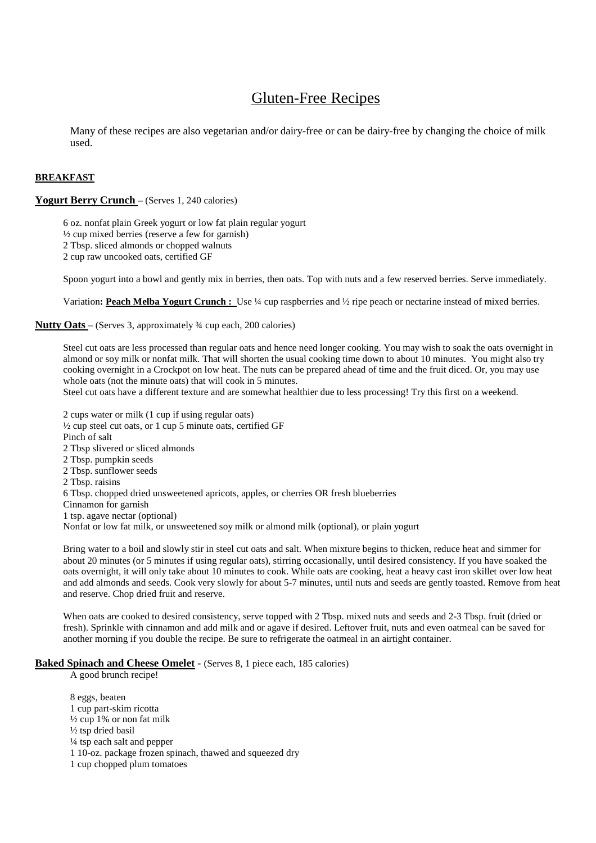# Gluten-Free Recipes

Many of these recipes are also vegetarian and/or dairy-free or can be dairy-free by changing the choice of milk used.

# **BREAKFAST**

### **Yogurt Berry Crunch** – (Serves 1, 240 calories)

6 oz. nonfat plain Greek yogurt or low fat plain regular yogurt ½ cup mixed berries (reserve a few for garnish) 2 Tbsp. sliced almonds or chopped walnuts

2 cup raw uncooked oats, certified GF

Spoon yogurt into a bowl and gently mix in berries, then oats. Top with nuts and a few reserved berries. Serve immediately.

Variation**: Peach Melba Yogurt Crunch :** Use ¼ cup raspberries and ½ ripe peach or nectarine instead of mixed berries.

**Nutty Oats** – (Serves 3, approximately ¾ cup each, 200 calories)

Steel cut oats are less processed than regular oats and hence need longer cooking. You may wish to soak the oats overnight in almond or soy milk or nonfat milk. That will shorten the usual cooking time down to about 10 minutes. You might also try cooking overnight in a Crockpot on low heat. The nuts can be prepared ahead of time and the fruit diced. Or, you may use whole oats (not the minute oats) that will cook in 5 minutes.

Steel cut oats have a different texture and are somewhat healthier due to less processing! Try this first on a weekend.

2 cups water or milk (1 cup if using regular oats) ½ cup steel cut oats, or 1 cup 5 minute oats, certified GF Pinch of salt 2 Tbsp slivered or sliced almonds 2 Tbsp. pumpkin seeds 2 Tbsp. sunflower seeds 2 Tbsp. raisins 6 Tbsp. chopped dried unsweetened apricots, apples, or cherries OR fresh blueberries Cinnamon for garnish 1 tsp. agave nectar (optional) Nonfat or low fat milk, or unsweetened soy milk or almond milk (optional), or plain yogurt Bring water to a boil and slowly stir in steel cut oats and salt. When mixture begins to thicken, reduce heat and simmer for

about 20 minutes (or 5 minutes if using regular oats), stirring occasionally, until desired consistency. If you have soaked the oats overnight, it will only take about 10 minutes to cook. While oats are cooking, heat a heavy cast iron skillet over low heat and add almonds and seeds. Cook very slowly for about 5-7 minutes, until nuts and seeds are gently toasted. Remove from heat and reserve. Chop dried fruit and reserve.

When oats are cooked to desired consistency, serve topped with 2 Tbsp. mixed nuts and seeds and 2-3 Tbsp. fruit (dried or fresh). Sprinkle with cinnamon and add milk and or agave if desired. Leftover fruit, nuts and even oatmeal can be saved for another morning if you double the recipe. Be sure to refrigerate the oatmeal in an airtight container.

### **Baked Spinach and Cheese Omelet -** (Serves 8, 1 piece each, 185 calories)

A good brunch recipe!

8 eggs, beaten 1 cup part-skim ricotta  $\frac{1}{2}$  cup 1% or non fat milk ½ tsp dried basil ¼ tsp each salt and pepper 1 10-oz. package frozen spinach, thawed and squeezed dry 1 cup chopped plum tomatoes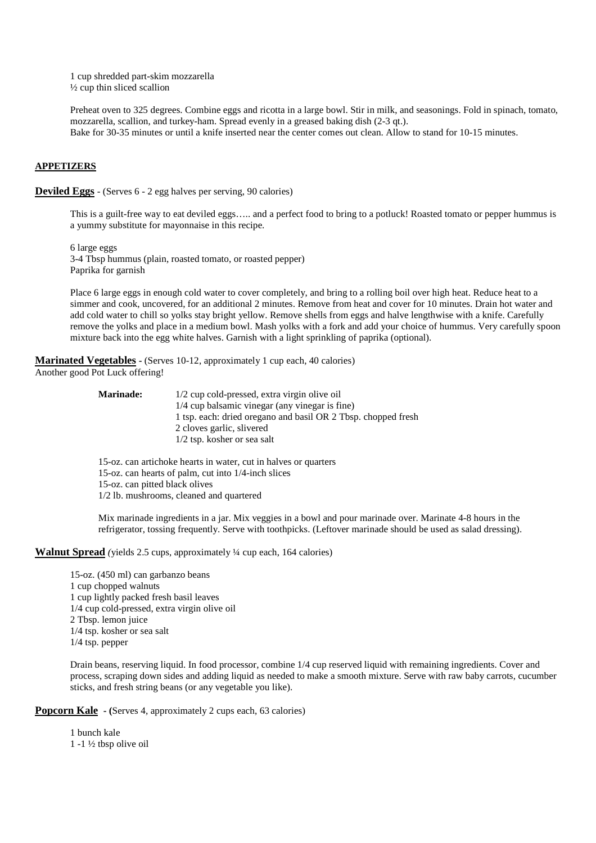1 cup shredded part-skim mozzarella ½ cup thin sliced scallion

Preheat oven to 325 degrees. Combine eggs and ricotta in a large bowl. Stir in milk, and seasonings. Fold in spinach, tomato, mozzarella, scallion, and turkey-ham. Spread evenly in a greased baking dish (2-3 qt.). Bake for 30-35 minutes or until a knife inserted near the center comes out clean. Allow to stand for 10-15 minutes.

### **APPETIZERS**

**Deviled Eggs** - (Serves 6 - 2 egg halves per serving, 90 calories)

This is a guilt-free way to eat deviled eggs….. and a perfect food to bring to a potluck! Roasted tomato or pepper hummus is a yummy substitute for mayonnaise in this recipe.

6 large eggs 3-4 Tbsp hummus (plain, roasted tomato, or roasted pepper) Paprika for garnish

Place 6 large eggs in enough cold water to cover completely, and bring to a rolling boil over high heat. Reduce heat to a simmer and cook, uncovered, for an additional 2 minutes. Remove from heat and cover for 10 minutes. Drain hot water and add cold water to chill so yolks stay bright yellow. Remove shells from eggs and halve lengthwise with a knife. Carefully remove the yolks and place in a medium bowl. Mash yolks with a fork and add your choice of hummus. Very carefully spoon mixture back into the egg white halves. Garnish with a light sprinkling of paprika (optional).

**Marinated Vegetables - (Serves 10-12, approximately 1 cup each, 40 calories)** Another good Pot Luck offering!

| <b>Marinade:</b> | 1/2 cup cold-pressed, extra virgin olive oil                  |
|------------------|---------------------------------------------------------------|
|                  | 1/4 cup balsamic vinegar (any vinegar is fine)                |
|                  | 1 tsp. each: dried oregano and basil OR 2 Tbsp. chopped fresh |
|                  | 2 cloves garlic, slivered                                     |
|                  | $1/2$ tsp. kosher or sea salt                                 |
|                  |                                                               |

15-oz. can artichoke hearts in water, cut in halves or quarters 15-oz. can hearts of palm, cut into 1/4-inch slices 15-oz. can pitted black olives 1/2 lb. mushrooms, cleaned and quartered

Mix marinade ingredients in a jar. Mix veggies in a bowl and pour marinade over. Marinate 4-8 hours in the refrigerator, tossing frequently. Serve with toothpicks. (Leftover marinade should be used as salad dressing).

### **Walnut Spread** *(*yields 2.5 cups, approximately ¼ cup each, 164 calories)

15-oz. (450 ml) can garbanzo beans 1 cup chopped walnuts 1 cup lightly packed fresh basil leaves 1/4 cup cold-pressed, extra virgin olive oil 2 Tbsp. lemon juice 1/4 tsp. kosher or sea salt 1/4 tsp. pepper

Drain beans, reserving liquid. In food processor, combine 1/4 cup reserved liquid with remaining ingredients. Cover and process, scraping down sides and adding liquid as needed to make a smooth mixture. Serve with raw baby carrots, cucumber sticks, and fresh string beans (or any vegetable you like).

**Popcorn Kale -** (Serves 4, approximately 2 cups each, 63 calories)

 1 bunch kale 1 -1 ½ tbsp olive oil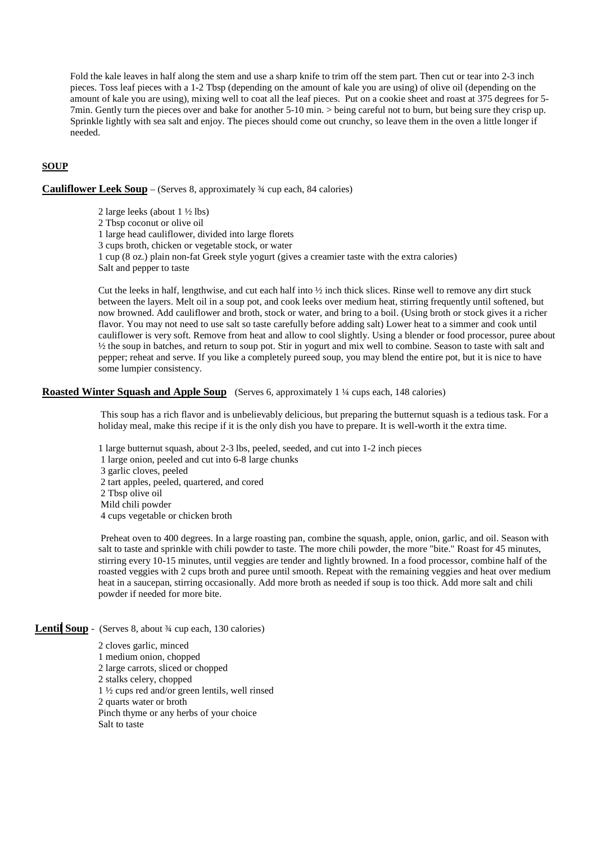Fold the kale leaves in half along the stem and use a sharp knife to trim off the stem part. Then cut or tear into 2-3 inch pieces. Toss leaf pieces with a 1-2 Tbsp (depending on the amount of kale you are using) of olive oil (depending on the amount of kale you are using), mixing well to coat all the leaf pieces. Put on a cookie sheet and roast at 375 degrees for 5- 7min. Gently turn the pieces over and bake for another 5-10 min. > being careful not to burn, but being sure they crisp up. Sprinkle lightly with sea salt and enjoy. The pieces should come out crunchy, so leave them in the oven a little longer if needed.

# **SOUP**

### **Cauliflower Leek Soup** – (Serves 8, approximately ¾ cup each, 84 calories)

2 large leeks (about 1 ½ lbs) 2 Tbsp coconut or olive oil 1 large head cauliflower, divided into large florets 3 cups broth, chicken or vegetable stock, or water 1 cup (8 oz.) plain non-fat Greek style yogurt (gives a creamier taste with the extra calories) Salt and pepper to taste

Cut the leeks in half, lengthwise, and cut each half into ½ inch thick slices. Rinse well to remove any dirt stuck between the layers. Melt oil in a soup pot, and cook leeks over medium heat, stirring frequently until softened, but now browned. Add cauliflower and broth, stock or water, and bring to a boil. (Using broth or stock gives it a richer flavor. You may not need to use salt so taste carefully before adding salt) Lower heat to a simmer and cook until cauliflower is very soft. Remove from heat and allow to cool slightly. Using a blender or food processor, puree about ½ the soup in batches, and return to soup pot. Stir in yogurt and mix well to combine. Season to taste with salt and pepper; reheat and serve. If you like a completely pureed soup, you may blend the entire pot, but it is nice to have some lumpier consistency.

### **Roasted Winter Squash and Apple Soup** (Serves 6, approximately 1 <sup>1</sup>/4 cups each, 148 calories)

 This soup has a rich flavor and is unbelievably delicious, but preparing the butternut squash is a tedious task. For a holiday meal, make this recipe if it is the only dish you have to prepare. It is well-worth it the extra time.

1 large butternut squash, about 2-3 lbs, peeled, seeded, and cut into 1-2 inch pieces

 1 large onion, peeled and cut into 6-8 large chunks 3 garlic cloves, peeled 2 tart apples, peeled, quartered, and cored 2 Tbsp olive oil Mild chili powder 4 cups vegetable or chicken broth

 Preheat oven to 400 degrees. In a large roasting pan, combine the squash, apple, onion, garlic, and oil. Season with salt to taste and sprinkle with chili powder to taste. The more chili powder, the more "bite." Roast for 45 minutes, stirring every 10-15 minutes, until veggies are tender and lightly browned. In a food processor, combine half of the roasted veggies with 2 cups broth and puree until smooth. Repeat with the remaining veggies and heat over medium heat in a saucepan, stirring occasionally. Add more broth as needed if soup is too thick. Add more salt and chili powder if needed for more bite.

# Lentil Soup - (Serves 8, about <sup>3</sup>/<sub>4</sub> cup each, 130 calories)

2 cloves garlic, minced 1 medium onion, chopped 2 large carrots, sliced or chopped 2 stalks celery, chopped 1 ½ cups red and/or green lentils, well rinsed 2 quarts water or broth Pinch thyme or any herbs of your choice Salt to taste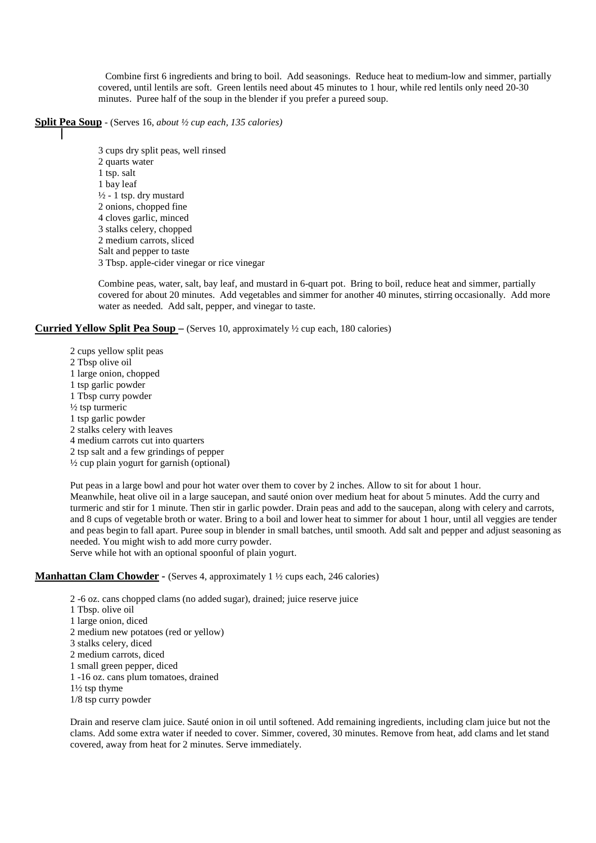Combine first 6 ingredients and bring to boil. Add seasonings. Reduce heat to medium-low and simmer, partially covered, until lentils are soft. Green lentils need about 45 minutes to 1 hour, while red lentils only need 20-30 minutes. Puree half of the soup in the blender if you prefer a pureed soup.

### **Split Pea Soup** - (Serves 16, *about ½ cup each, 135 calories)*

- 
- 3 cups dry split peas, well rinsed 2 quarts water 1 tsp. salt 1 bay leaf  $\frac{1}{2}$  - 1 tsp. dry mustard 2 onions, chopped fine 4 cloves garlic, minced 3 stalks celery, chopped 2 medium carrots, sliced Salt and pepper to taste 3 Tbsp. apple-cider vinegar or rice vinegar

Combine peas, water, salt, bay leaf, and mustard in 6-quart pot. Bring to boil, reduce heat and simmer, partially covered for about 20 minutes. Add vegetables and simmer for another 40 minutes, stirring occasionally. Add more water as needed. Add salt, pepper, and vinegar to taste.

### **Curried Yellow Split Pea Soup –** (Serves 10, approximately ½ cup each, 180 calories)

2 cups yellow split peas 2 Tbsp olive oil 1 large onion, chopped 1 tsp garlic powder 1 Tbsp curry powder ½ tsp turmeric 1 tsp garlic powder 2 stalks celery with leaves 4 medium carrots cut into quarters 2 tsp salt and a few grindings of pepper  $\frac{1}{2}$  cup plain yogurt for garnish (optional)

Put peas in a large bowl and pour hot water over them to cover by 2 inches. Allow to sit for about 1 hour. Meanwhile, heat olive oil in a large saucepan, and sauté onion over medium heat for about 5 minutes. Add the curry and turmeric and stir for 1 minute. Then stir in garlic powder. Drain peas and add to the saucepan, along with celery and carrots, and 8 cups of vegetable broth or water. Bring to a boil and lower heat to simmer for about 1 hour, until all veggies are tender and peas begin to fall apart. Puree soup in blender in small batches, until smooth. Add salt and pepper and adjust seasoning as needed. You might wish to add more curry powder. Serve while hot with an optional spoonful of plain yogurt.

### **Manhattan Clam Chowder -** (Serves 4, approximately 1 <sup>1</sup>/<sub>2</sub> cups each, 246 calories)

2 -6 oz. cans chopped clams (no added sugar), drained; juice reserve juice 1 Tbsp. olive oil 1 large onion, diced 2 medium new potatoes (red or yellow) 3 stalks celery, diced 2 medium carrots, diced 1 small green pepper, diced 1 -16 oz. cans plum tomatoes, drained 1½ tsp thyme 1/8 tsp curry powder

Drain and reserve clam juice. Sauté onion in oil until softened. Add remaining ingredients, including clam juice but not the clams. Add some extra water if needed to cover. Simmer, covered, 30 minutes. Remove from heat, add clams and let stand covered, away from heat for 2 minutes. Serve immediately.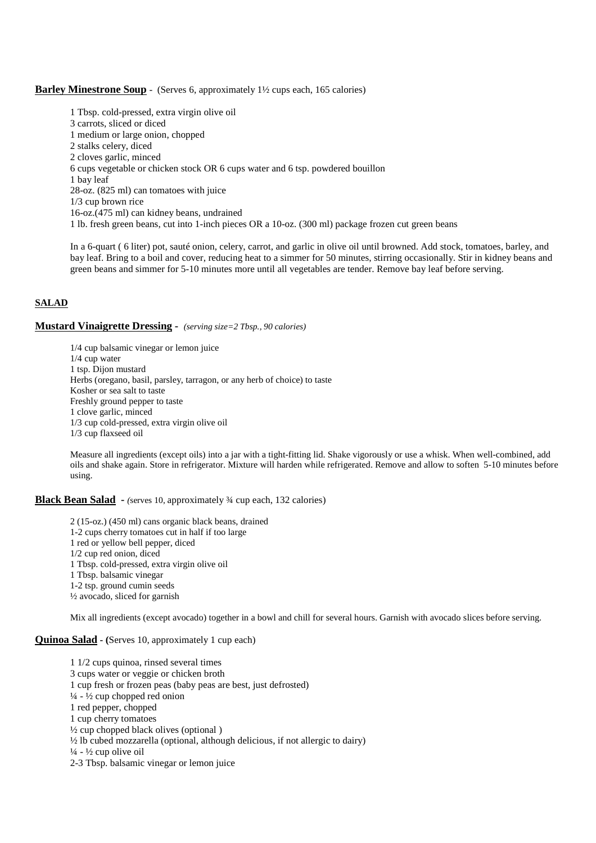### **Barley Minestrone Soup** - (Serves 6, approximately 1<sup>1</sup>/<sub>2</sub> cups each, 165 calories)

1 Tbsp. cold-pressed, extra virgin olive oil 3 carrots, sliced or diced 1 medium or large onion, chopped 2 stalks celery, diced 2 cloves garlic, minced 6 cups vegetable or chicken stock OR 6 cups water and 6 tsp. powdered bouillon 1 bay leaf 28-oz. (825 ml) can tomatoes with juice 1/3 cup brown rice 16-oz.(475 ml) can kidney beans, undrained 1 lb. fresh green beans, cut into 1-inch pieces OR a 10-oz. (300 ml) package frozen cut green beans

In a 6-quart ( 6 liter) pot, sauté onion, celery, carrot, and garlic in olive oil until browned. Add stock, tomatoes, barley, and bay leaf. Bring to a boil and cover, reducing heat to a simmer for 50 minutes, stirring occasionally. Stir in kidney beans and green beans and simmer for 5-10 minutes more until all vegetables are tender. Remove bay leaf before serving.

# **SALAD**

### **Mustard Vinaigrette Dressing -** *(serving size=2 Tbsp., 90 calories)*

1/4 cup balsamic vinegar or lemon juice 1/4 cup water 1 tsp. Dijon mustard Herbs (oregano, basil, parsley, tarragon, or any herb of choice) to taste Kosher or sea salt to taste Freshly ground pepper to taste 1 clove garlic, minced 1/3 cup cold-pressed, extra virgin olive oil 1/3 cup flaxseed oil

Measure all ingredients (except oils) into a jar with a tight-fitting lid. Shake vigorously or use a whisk. When well-combined, add oils and shake again. Store in refrigerator. Mixture will harden while refrigerated. Remove and allow to soften 5-10 minutes before using.

### **Black Bean Salad -** *(*serves 10, approximately ¾ cup each, 132 calories)

2 (15-oz.) (450 ml) cans organic black beans, drained 1-2 cups cherry tomatoes cut in half if too large 1 red or yellow bell pepper, diced 1/2 cup red onion, diced 1 Tbsp. cold-pressed, extra virgin olive oil 1 Tbsp. balsamic vinegar 1-2 tsp. ground cumin seeds ½ avocado, sliced for garnish

Mix all ingredients (except avocado) together in a bowl and chill for several hours. Garnish with avocado slices before serving.

# **Quinoa Salad - (**Serves 10, approximately 1 cup each)

1 1/2 cups quinoa, rinsed several times 3 cups water or veggie or chicken broth 1 cup fresh or frozen peas (baby peas are best, just defrosted)  $\frac{1}{4}$  -  $\frac{1}{2}$  cup chopped red onion 1 red pepper, chopped 1 cup cherry tomatoes  $\frac{1}{2}$  cup chopped black olives (optional) ½ lb cubed mozzarella (optional, although delicious, if not allergic to dairy)  $\frac{1}{4}$  -  $\frac{1}{2}$  cup olive oil 2-3 Tbsp. balsamic vinegar or lemon juice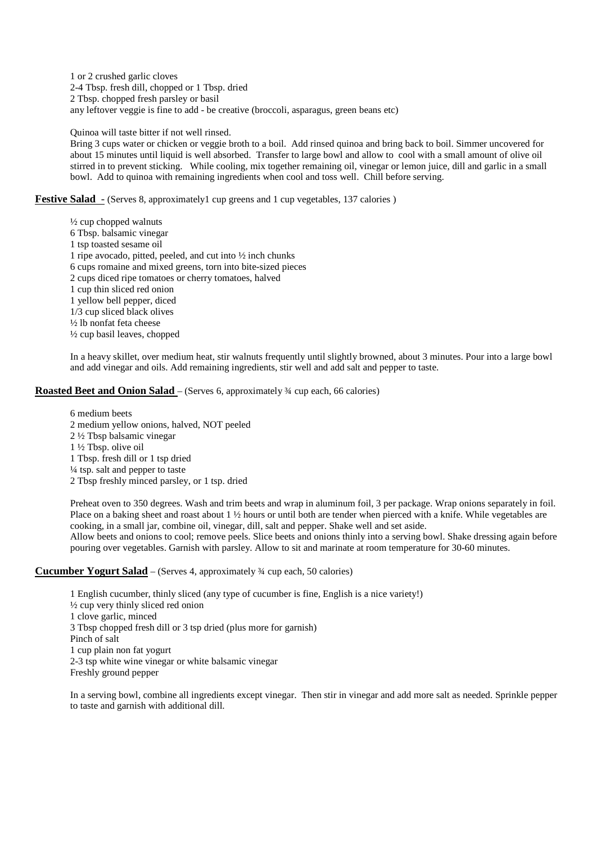1 or 2 crushed garlic cloves 2-4 Tbsp. fresh dill, chopped or 1 Tbsp. dried 2 Tbsp. chopped fresh parsley or basil any leftover veggie is fine to add - be creative (broccoli, asparagus, green beans etc)

Quinoa will taste bitter if not well rinsed.

Bring 3 cups water or chicken or veggie broth to a boil. Add rinsed quinoa and bring back to boil. Simmer uncovered for about 15 minutes until liquid is well absorbed. Transfer to large bowl and allow to cool with a small amount of olive oil stirred in to prevent sticking. While cooling, mix together remaining oil, vinegar or lemon juice, dill and garlic in a small bowl. Add to quinoa with remaining ingredients when cool and toss well. Chill before serving.

**Festive Salad** - (Serves 8, approximately1 cup greens and 1 cup vegetables, 137 calories)

 $\frac{1}{2}$  cup chopped walnuts 6 Tbsp. balsamic vinegar 1 tsp toasted sesame oil 1 ripe avocado, pitted, peeled, and cut into ½ inch chunks 6 cups romaine and mixed greens, torn into bite-sized pieces 2 cups diced ripe tomatoes or cherry tomatoes, halved 1 cup thin sliced red onion 1 yellow bell pepper, diced 1/3 cup sliced black olives ½ lb nonfat feta cheese ½ cup basil leaves, chopped

In a heavy skillet, over medium heat, stir walnuts frequently until slightly browned, about 3 minutes. Pour into a large bowl and add vinegar and oils. Add remaining ingredients, stir well and add salt and pepper to taste.

# **Roasted Beet and Onion Salad** – (Serves 6, approximately <sup>3</sup>/4 cup each, 66 calories)

6 medium beets 2 medium yellow onions, halved, NOT peeled 2 ½ Tbsp balsamic vinegar 1 ½ Tbsp. olive oil 1 Tbsp. fresh dill or 1 tsp dried  $\frac{1}{4}$  tsp. salt and pepper to taste 2 Tbsp freshly minced parsley, or 1 tsp. dried

Preheat oven to 350 degrees. Wash and trim beets and wrap in aluminum foil, 3 per package. Wrap onions separately in foil. Place on a baking sheet and roast about 1 ½ hours or until both are tender when pierced with a knife. While vegetables are cooking, in a small jar, combine oil, vinegar, dill, salt and pepper. Shake well and set aside. Allow beets and onions to cool; remove peels. Slice beets and onions thinly into a serving bowl. Shake dressing again before

pouring over vegetables. Garnish with parsley. Allow to sit and marinate at room temperature for 30-60 minutes.

# **Cucumber Yogurt Salad** – (Serves 4, approximately ¾ cup each, 50 calories)

1 English cucumber, thinly sliced (any type of cucumber is fine, English is a nice variety!) ½ cup very thinly sliced red onion 1 clove garlic, minced 3 Tbsp chopped fresh dill or 3 tsp dried (plus more for garnish) Pinch of salt 1 cup plain non fat yogurt 2-3 tsp white wine vinegar or white balsamic vinegar Freshly ground pepper

In a serving bowl, combine all ingredients except vinegar. Then stir in vinegar and add more salt as needed. Sprinkle pepper to taste and garnish with additional dill.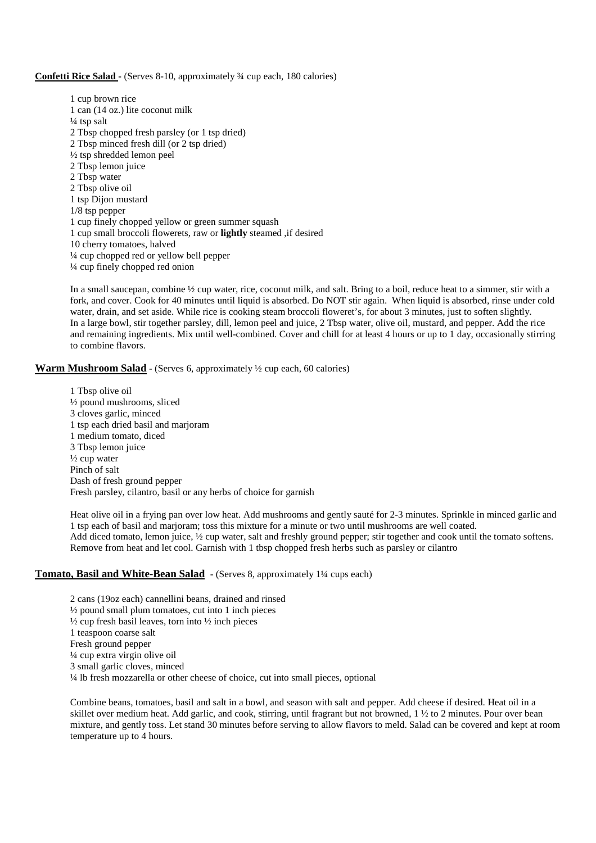### **Confetti Rice Salad -** (Serves 8-10, approximately ¾ cup each, 180 calories)

1 cup brown rice 1 can (14 oz.) lite coconut milk  $\frac{1}{4}$  tsp salt 2 Tbsp chopped fresh parsley (or 1 tsp dried) 2 Tbsp minced fresh dill (or 2 tsp dried) ½ tsp shredded lemon peel 2 Tbsp lemon juice 2 Tbsp water 2 Tbsp olive oil 1 tsp Dijon mustard 1/8 tsp pepper 1 cup finely chopped yellow or green summer squash 1 cup small broccoli flowerets, raw or **lightly** steamed ,if desired 10 cherry tomatoes, halved ¼ cup chopped red or yellow bell pepper ¼ cup finely chopped red onion

In a small saucepan, combine  $\frac{1}{2}$  cup water, rice, coconut milk, and salt. Bring to a boil, reduce heat to a simmer, stir with a fork, and cover. Cook for 40 minutes until liquid is absorbed. Do NOT stir again. When liquid is absorbed, rinse under cold water, drain, and set aside. While rice is cooking steam broccoli floweret's, for about 3 minutes, just to soften slightly. In a large bowl, stir together parsley, dill, lemon peel and juice, 2 Tbsp water, olive oil, mustard, and pepper. Add the rice and remaining ingredients. Mix until well-combined. Cover and chill for at least 4 hours or up to 1 day, occasionally stirring to combine flavors.

### **Warm Mushroom Salad** - (Serves 6, approximately  $\frac{1}{2}$  cup each, 60 calories)

1 Tbsp olive oil ½ pound mushrooms, sliced 3 cloves garlic, minced 1 tsp each dried basil and marjoram 1 medium tomato, diced 3 Tbsp lemon juice  $\frac{1}{2}$  cup water Pinch of salt Dash of fresh ground pepper Fresh parsley, cilantro, basil or any herbs of choice for garnish

Heat olive oil in a frying pan over low heat. Add mushrooms and gently sauté for 2-3 minutes. Sprinkle in minced garlic and 1 tsp each of basil and marjoram; toss this mixture for a minute or two until mushrooms are well coated. Add diced tomato, lemon juice,  $\frac{1}{2}$  cup water, salt and freshly ground pepper; stir together and cook until the tomato softens. Remove from heat and let cool. Garnish with 1 tbsp chopped fresh herbs such as parsley or cilantro

### **Tomato, Basil and White-Bean Salad** - (Serves 8, approximately 1<sup>1</sup>/4 cups each)

2 cans (19oz each) cannellini beans, drained and rinsed  $\frac{1}{2}$  pound small plum tomatoes, cut into 1 inch pieces  $\frac{1}{2}$  cup fresh basil leaves, torn into  $\frac{1}{2}$  inch pieces 1 teaspoon coarse salt Fresh ground pepper ¼ cup extra virgin olive oil 3 small garlic cloves, minced ¼ lb fresh mozzarella or other cheese of choice, cut into small pieces, optional

Combine beans, tomatoes, basil and salt in a bowl, and season with salt and pepper. Add cheese if desired. Heat oil in a skillet over medium heat. Add garlic, and cook, stirring, until fragrant but not browned, 1 ½ to 2 minutes. Pour over bean mixture, and gently toss. Let stand 30 minutes before serving to allow flavors to meld. Salad can be covered and kept at room temperature up to 4 hours.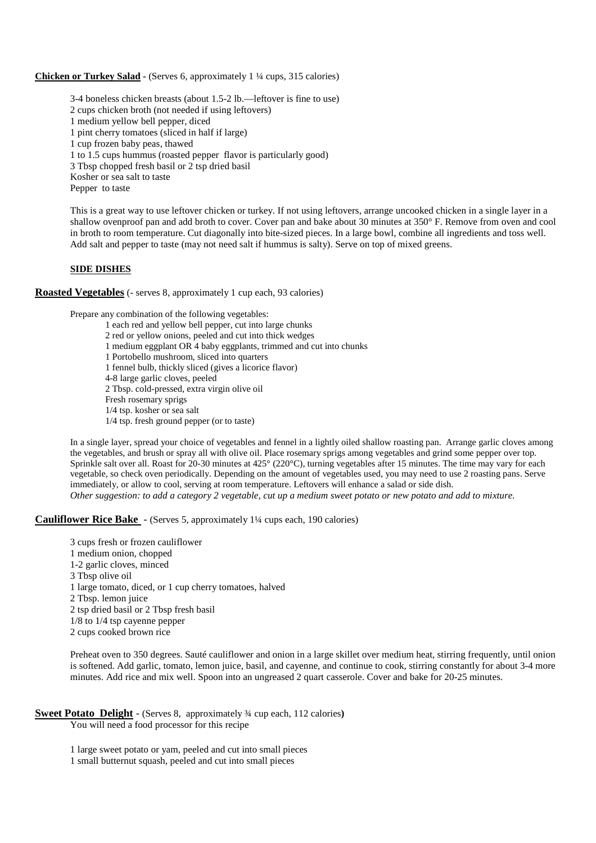### **Chicken or Turkey Salad -** (Serves 6, approximately 1 ¼ cups, 315 calories)

3-4 boneless chicken breasts (about 1.5-2 lb.—leftover is fine to use)

2 cups chicken broth (not needed if using leftovers)

1 medium yellow bell pepper, diced

1 pint cherry tomatoes (sliced in half if large)

1 cup frozen baby peas, thawed

1 to 1.5 cups hummus (roasted pepper flavor is particularly good)

3 Tbsp chopped fresh basil or 2 tsp dried basil

Kosher or sea salt to taste

Pepper to taste

This is a great way to use leftover chicken or turkey. If not using leftovers, arrange uncooked chicken in a single layer in a shallow ovenproof pan and add broth to cover. Cover pan and bake about 30 minutes at 350° F. Remove from oven and cool in broth to room temperature. Cut diagonally into bite-sized pieces. In a large bowl, combine all ingredients and toss well. Add salt and pepper to taste (may not need salt if hummus is salty). Serve on top of mixed greens.

### **SIDE DISHES**

**Roasted Vegetables** (- serves 8, approximately 1 cup each, 93 calories)

Prepare any combination of the following vegetables:

1 each red and yellow bell pepper, cut into large chunks

2 red or yellow onions, peeled and cut into thick wedges

1 medium eggplant OR 4 baby eggplants, trimmed and cut into chunks

1 Portobello mushroom, sliced into quarters

1 fennel bulb, thickly sliced (gives a licorice flavor)

4-8 large garlic cloves, peeled

2 Tbsp. cold-pressed, extra virgin olive oil

Fresh rosemary sprigs

1/4 tsp. kosher or sea salt

1/4 tsp. fresh ground pepper (or to taste)

In a single layer, spread your choice of vegetables and fennel in a lightly oiled shallow roasting pan. Arrange garlic cloves among the vegetables, and brush or spray all with olive oil. Place rosemary sprigs among vegetables and grind some pepper over top. Sprinkle salt over all. Roast for 20-30 minutes at 425° (220°C), turning vegetables after 15 minutes. The time may vary for each vegetable, so check oven periodically. Depending on the amount of vegetables used, you may need to use 2 roasting pans. Serve immediately, or allow to cool, serving at room temperature. Leftovers will enhance a salad or side dish. *Other suggestion: to add a category 2 vegetable, cut up a medium sweet potato or new potato and add to mixture.*

### **Cauliflower Rice Bake** - (Serves 5, approximately 1¼ cups each, 190 calories)

3 cups fresh or frozen cauliflower 1 medium onion, chopped 1-2 garlic cloves, minced 3 Tbsp olive oil 1 large tomato, diced, or 1 cup cherry tomatoes, halved 2 Tbsp. lemon juice 2 tsp dried basil or 2 Tbsp fresh basil 1/8 to 1/4 tsp cayenne pepper 2 cups cooked brown rice

Preheat oven to 350 degrees. Sauté cauliflower and onion in a large skillet over medium heat, stirring frequently, until onion is softened. Add garlic, tomato, lemon juice, basil, and cayenne, and continue to cook, stirring constantly for about 3-4 more minutes. Add rice and mix well. Spoon into an ungreased 2 quart casserole. Cover and bake for 20-25 minutes.

# **Sweet Potato Delight** - (Serves 8, approximately ¾ cup each, 112 calories**)**

You will need a food processor for this recipe

1 large sweet potato or yam, peeled and cut into small pieces 1 small butternut squash, peeled and cut into small pieces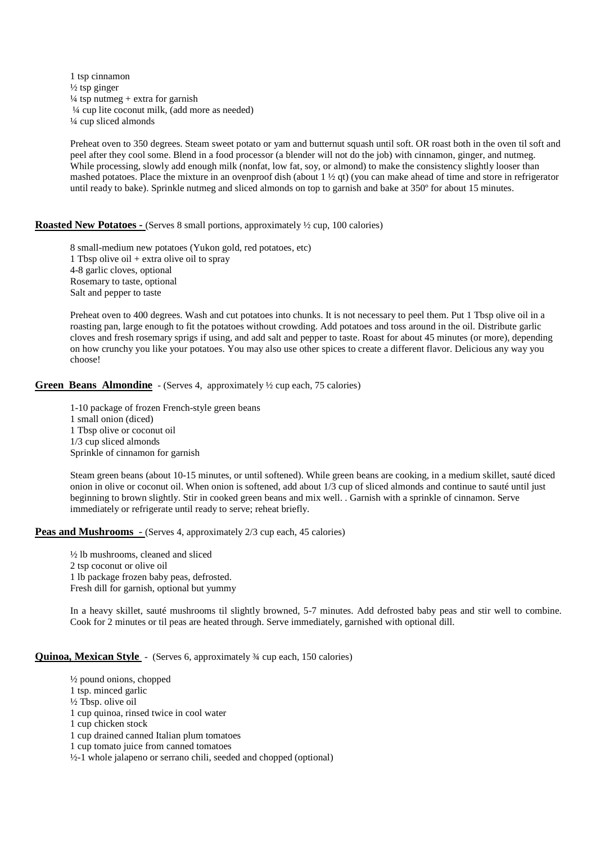1 tsp cinnamon  $\frac{1}{2}$  tsp ginger  $\frac{1}{4}$  tsp nutmeg + extra for garnish ¼ cup lite coconut milk, (add more as needed) ¼ cup sliced almonds

Preheat oven to 350 degrees. Steam sweet potato or yam and butternut squash until soft. OR roast both in the oven til soft and peel after they cool some. Blend in a food processor (a blender will not do the job) with cinnamon, ginger, and nutmeg. While processing, slowly add enough milk (nonfat, low fat, soy, or almond) to make the consistency slightly looser than mashed potatoes. Place the mixture in an ovenproof dish (about  $1 \frac{1}{2}$  at) (you can make ahead of time and store in refrigerator until ready to bake). Sprinkle nutmeg and sliced almonds on top to garnish and bake at 350º for about 15 minutes.

### **Roasted New Potatoes -** (Serves 8 small portions, approximately  $\frac{1}{2}$  cup, 100 calories)

8 small-medium new potatoes (Yukon gold, red potatoes, etc) 1 Tbsp olive oil + extra olive oil to spray 4-8 garlic cloves, optional Rosemary to taste, optional Salt and pepper to taste

Preheat oven to 400 degrees. Wash and cut potatoes into chunks. It is not necessary to peel them. Put 1 Tbsp olive oil in a roasting pan, large enough to fit the potatoes without crowding. Add potatoes and toss around in the oil. Distribute garlic cloves and fresh rosemary sprigs if using, and add salt and pepper to taste. Roast for about 45 minutes (or more), depending on how crunchy you like your potatoes. You may also use other spices to create a different flavor. Delicious any way you choose!

### **Green Beans Almondine** - (Serves 4, approximately  $\frac{1}{2}$  cup each, 75 calories)

1-10 package of frozen French-style green beans 1 small onion (diced) 1 Tbsp olive or coconut oil 1/3 cup sliced almonds Sprinkle of cinnamon for garnish

Steam green beans (about 10-15 minutes, or until softened). While green beans are cooking, in a medium skillet, sauté diced onion in olive or coconut oil. When onion is softened, add about 1/3 cup of sliced almonds and continue to sauté until just beginning to brown slightly. Stir in cooked green beans and mix well. . Garnish with a sprinkle of cinnamon. Serve immediately or refrigerate until ready to serve; reheat briefly.

### **Peas and Mushrooms** - (Serves 4, approximately 2/3 cup each, 45 calories)

½ lb mushrooms, cleaned and sliced 2 tsp coconut or olive oil 1 lb package frozen baby peas, defrosted. Fresh dill for garnish, optional but yummy

In a heavy skillet, sauté mushrooms til slightly browned, 5-7 minutes. Add defrosted baby peas and stir well to combine. Cook for 2 minutes or til peas are heated through. Serve immediately, garnished with optional dill.

### **Quinoa, Mexican Style** - (Serves 6, approximately <sup>3</sup>/4 cup each, 150 calories)

½ pound onions, chopped 1 tsp. minced garlic ½ Tbsp. olive oil 1 cup quinoa, rinsed twice in cool water 1 cup chicken stock 1 cup drained canned Italian plum tomatoes 1 cup tomato juice from canned tomatoes ½-1 whole jalapeno or serrano chili, seeded and chopped (optional)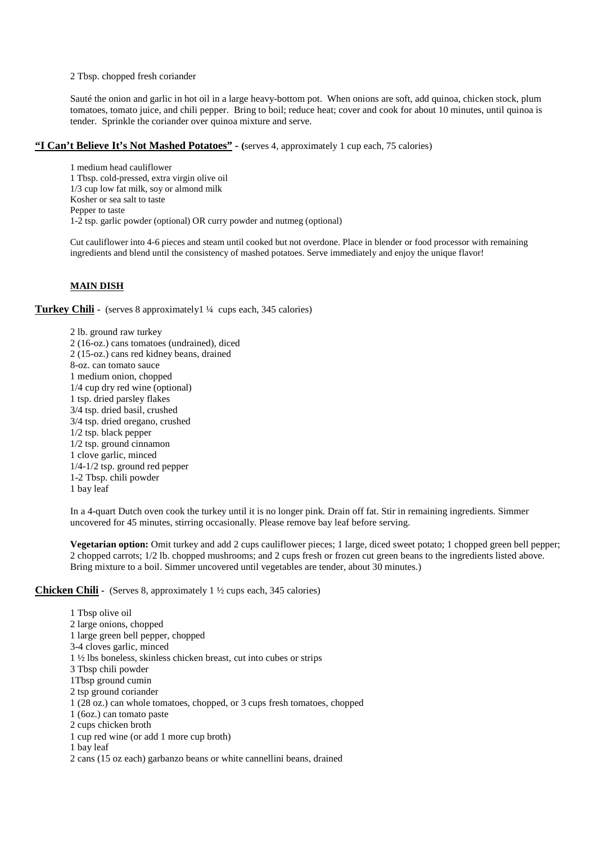2 Tbsp. chopped fresh coriander

Sauté the onion and garlic in hot oil in a large heavy-bottom pot. When onions are soft, add quinoa, chicken stock, plum tomatoes, tomato juice, and chili pepper. Bring to boil; reduce heat; cover and cook for about 10 minutes, until quinoa is tender. Sprinkle the coriander over quinoa mixture and serve.

# **"I Can't Believe It's Not Mashed Potatoes" - (**serves 4, approximately 1 cup each, 75 calories)

1 medium head cauliflower 1 Tbsp. cold-pressed, extra virgin olive oil 1/3 cup low fat milk, soy or almond milk Kosher or sea salt to taste Pepper to taste 1-2 tsp. garlic powder (optional) OR curry powder and nutmeg (optional)

Cut cauliflower into 4-6 pieces and steam until cooked but not overdone. Place in blender or food processor with remaining ingredients and blend until the consistency of mashed potatoes. Serve immediately and enjoy the unique flavor!

# **MAIN DISH**

**Turkey Chili -** (serves 8 approximately 1 ¼ cups each, 345 calories)

2 lb. ground raw turkey 2 (16-oz.) cans tomatoes (undrained), diced 2 (15-oz.) cans red kidney beans, drained 8-oz. can tomato sauce 1 medium onion, chopped 1/4 cup dry red wine (optional) 1 tsp. dried parsley flakes 3/4 tsp. dried basil, crushed 3/4 tsp. dried oregano, crushed 1/2 tsp. black pepper 1/2 tsp. ground cinnamon 1 clove garlic, minced 1/4-1/2 tsp. ground red pepper 1-2 Tbsp. chili powder 1 bay leaf

In a 4-quart Dutch oven cook the turkey until it is no longer pink. Drain off fat. Stir in remaining ingredients. Simmer uncovered for 45 minutes, stirring occasionally. Please remove bay leaf before serving.

**Vegetarian option:** Omit turkey and add 2 cups cauliflower pieces; 1 large, diced sweet potato; 1 chopped green bell pepper; 2 chopped carrots; 1/2 lb. chopped mushrooms; and 2 cups fresh or frozen cut green beans to the ingredients listed above. Bring mixture to a boil. Simmer uncovered until vegetables are tender, about 30 minutes.)

### **Chicken Chili -** (Serves 8, approximately 1 <sup>1</sup>/<sub>2</sub> cups each, 345 calories)

1 Tbsp olive oil 2 large onions, chopped 1 large green bell pepper, chopped 3-4 cloves garlic, minced 1 ½ lbs boneless, skinless chicken breast, cut into cubes or strips 3 Tbsp chili powder 1Tbsp ground cumin 2 tsp ground coriander 1 (28 oz.) can whole tomatoes, chopped, or 3 cups fresh tomatoes, chopped 1 (6oz.) can tomato paste 2 cups chicken broth 1 cup red wine (or add 1 more cup broth) 1 bay leaf 2 cans (15 oz each) garbanzo beans or white cannellini beans, drained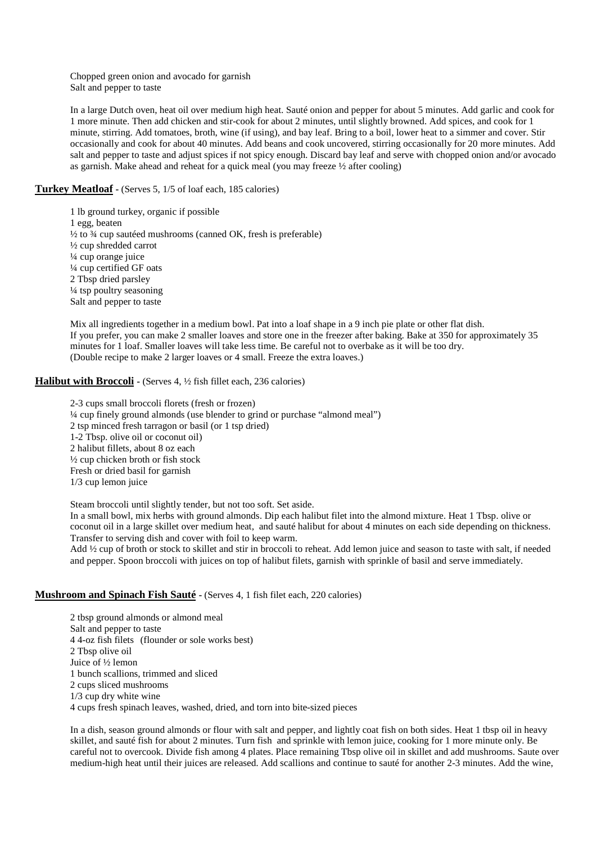Chopped green onion and avocado for garnish Salt and pepper to taste

In a large Dutch oven, heat oil over medium high heat. Sauté onion and pepper for about 5 minutes. Add garlic and cook for 1 more minute. Then add chicken and stir-cook for about 2 minutes, until slightly browned. Add spices, and cook for 1 minute, stirring. Add tomatoes, broth, wine (if using), and bay leaf. Bring to a boil, lower heat to a simmer and cover. Stir occasionally and cook for about 40 minutes. Add beans and cook uncovered, stirring occasionally for 20 more minutes. Add salt and pepper to taste and adjust spices if not spicy enough. Discard bay leaf and serve with chopped onion and/or avocado as garnish. Make ahead and reheat for a quick meal (you may freeze ½ after cooling)

# **Turkey Meatloaf -** (Serves 5, 1/5 of loaf each, 185 calories)

1 lb ground turkey, organic if possible 1 egg, beaten  $\frac{1}{2}$  to  $\frac{3}{4}$  cup sautéed mushrooms (canned OK, fresh is preferable) ½ cup shredded carrot ¼ cup orange juice ¼ cup certified GF oats 2 Tbsp dried parsley ¼ tsp poultry seasoning Salt and pepper to taste

Mix all ingredients together in a medium bowl. Pat into a loaf shape in a 9 inch pie plate or other flat dish. If you prefer, you can make 2 smaller loaves and store one in the freezer after baking. Bake at 350 for approximately 35 minutes for 1 loaf. Smaller loaves will take less time. Be careful not to overbake as it will be too dry. (Double recipe to make 2 larger loaves or 4 small. Freeze the extra loaves.)

### **Halibut with Broccoli -** (Serves 4,  $\frac{1}{2}$  fish fillet each, 236 calories)

2-3 cups small broccoli florets (fresh or frozen) ¼ cup finely ground almonds (use blender to grind or purchase "almond meal") 2 tsp minced fresh tarragon or basil (or 1 tsp dried) 1-2 Tbsp. olive oil or coconut oil) 2 halibut fillets, about 8 oz each ½ cup chicken broth or fish stock Fresh or dried basil for garnish 1/3 cup lemon juice

Steam broccoli until slightly tender, but not too soft. Set aside.

In a small bowl, mix herbs with ground almonds. Dip each halibut filet into the almond mixture. Heat 1 Tbsp. olive or coconut oil in a large skillet over medium heat, and sauté halibut for about 4 minutes on each side depending on thickness. Transfer to serving dish and cover with foil to keep warm.

Add ½ cup of broth or stock to skillet and stir in broccoli to reheat. Add lemon juice and season to taste with salt, if needed and pepper. Spoon broccoli with juices on top of halibut filets, garnish with sprinkle of basil and serve immediately.

### **Mushroom and Spinach Fish Sauté - (Serves 4, 1 fish filet each, 220 calories)**

2 tbsp ground almonds or almond meal Salt and pepper to taste 4 4-oz fish filets (flounder or sole works best) 2 Tbsp olive oil Juice of ½ lemon 1 bunch scallions, trimmed and sliced 2 cups sliced mushrooms 1/3 cup dry white wine 4 cups fresh spinach leaves, washed, dried, and torn into bite-sized pieces

In a dish, season ground almonds or flour with salt and pepper, and lightly coat fish on both sides. Heat 1 tbsp oil in heavy skillet, and sauté fish for about 2 minutes. Turn fish and sprinkle with lemon juice, cooking for 1 more minute only. Be careful not to overcook. Divide fish among 4 plates. Place remaining Tbsp olive oil in skillet and add mushrooms. Saute over medium-high heat until their juices are released. Add scallions and continue to sauté for another 2-3 minutes. Add the wine,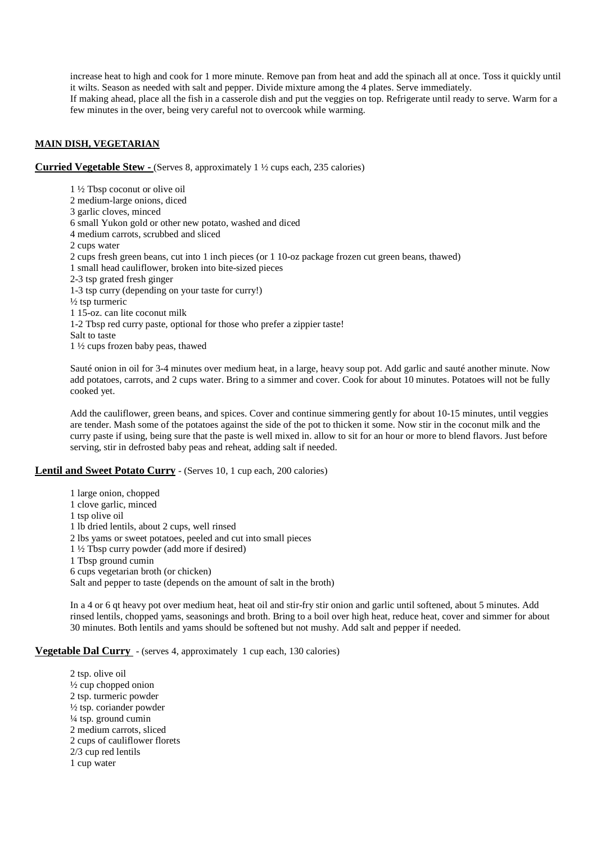increase heat to high and cook for 1 more minute. Remove pan from heat and add the spinach all at once. Toss it quickly until it wilts. Season as needed with salt and pepper. Divide mixture among the 4 plates. Serve immediately. If making ahead, place all the fish in a casserole dish and put the veggies on top. Refrigerate until ready to serve. Warm for a few minutes in the over, being very careful not to overcook while warming.

### **MAIN DISH, VEGETARIAN**

**Curried Vegetable Stew -** (Serves 8, approximately 1 ½ cups each, 235 calories)

1 ½ Tbsp coconut or olive oil 2 medium-large onions, diced 3 garlic cloves, minced 6 small Yukon gold or other new potato, washed and diced 4 medium carrots, scrubbed and sliced 2 cups water 2 cups fresh green beans, cut into 1 inch pieces (or 1 10-oz package frozen cut green beans, thawed) 1 small head cauliflower, broken into bite-sized pieces 2-3 tsp grated fresh ginger 1-3 tsp curry (depending on your taste for curry!) ½ tsp turmeric 1 15-oz. can lite coconut milk 1-2 Tbsp red curry paste, optional for those who prefer a zippier taste! Salt to taste 1 ½ cups frozen baby peas, thawed

Sauté onion in oil for 3-4 minutes over medium heat, in a large, heavy soup pot. Add garlic and sauté another minute. Now add potatoes, carrots, and 2 cups water. Bring to a simmer and cover. Cook for about 10 minutes. Potatoes will not be fully cooked yet.

Add the cauliflower, green beans, and spices. Cover and continue simmering gently for about 10-15 minutes, until veggies are tender. Mash some of the potatoes against the side of the pot to thicken it some. Now stir in the coconut milk and the curry paste if using, being sure that the paste is well mixed in. allow to sit for an hour or more to blend flavors. Just before serving, stir in defrosted baby peas and reheat, adding salt if needed.

### **Lentil and Sweet Potato Curry** - (Serves 10, 1 cup each, 200 calories)

1 large onion, chopped 1 clove garlic, minced 1 tsp olive oil 1 lb dried lentils, about 2 cups, well rinsed 2 lbs yams or sweet potatoes, peeled and cut into small pieces 1 ½ Tbsp curry powder (add more if desired) 1 Tbsp ground cumin 6 cups vegetarian broth (or chicken) Salt and pepper to taste (depends on the amount of salt in the broth)

In a 4 or 6 qt heavy pot over medium heat, heat oil and stir-fry stir onion and garlic until softened, about 5 minutes. Add rinsed lentils, chopped yams, seasonings and broth. Bring to a boil over high heat, reduce heat, cover and simmer for about 30 minutes. Both lentils and yams should be softened but not mushy. Add salt and pepper if needed.

### **Vegetable Dal Curry** - (serves 4, approximately 1 cup each, 130 calories)

2 tsp. olive oil  $\frac{1}{2}$  cup chopped onion 2 tsp. turmeric powder ½ tsp. coriander powder ¼ tsp. ground cumin 2 medium carrots, sliced 2 cups of cauliflower florets 2/3 cup red lentils 1 cup water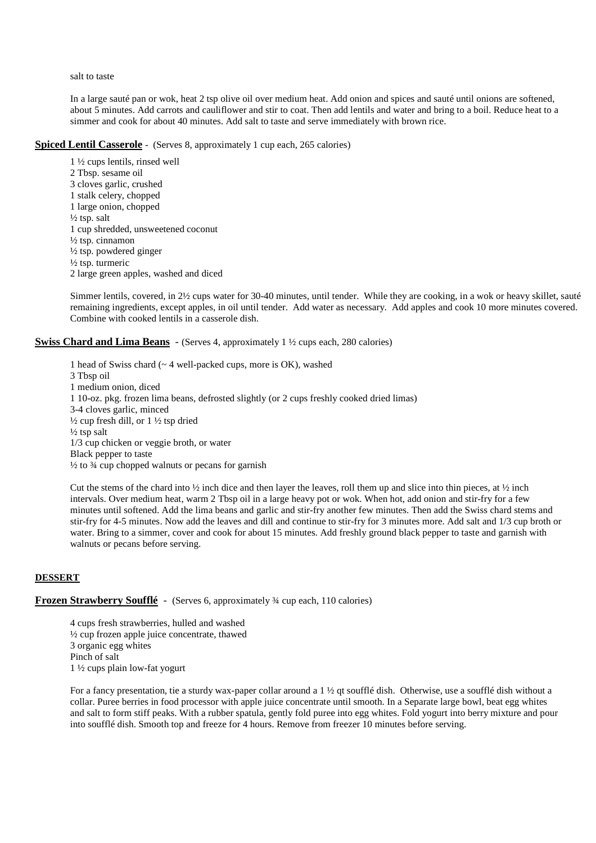#### salt to taste

In a large sauté pan or wok, heat 2 tsp olive oil over medium heat. Add onion and spices and sauté until onions are softened, about 5 minutes. Add carrots and cauliflower and stir to coat. Then add lentils and water and bring to a boil. Reduce heat to a simmer and cook for about 40 minutes. Add salt to taste and serve immediately with brown rice.

### **Spiced Lentil Casserole** - (Serves 8, approximately 1 cup each, 265 calories)

1 ½ cups lentils, rinsed well 2 Tbsp. sesame oil 3 cloves garlic, crushed 1 stalk celery, chopped 1 large onion, chopped  $\frac{1}{2}$  tsp. salt 1 cup shredded, unsweetened coconut ½ tsp. cinnamon  $\frac{1}{2}$  tsp. powdered ginger ½ tsp. turmeric 2 large green apples, washed and diced

Simmer lentils, covered, in 2½ cups water for 30-40 minutes, until tender. While they are cooking, in a wok or heavy skillet, sauté remaining ingredients, except apples, in oil until tender. Add water as necessary. Add apples and cook 10 more minutes covered. Combine with cooked lentils in a casserole dish.

### **Swiss Chard and Lima Beans** - (Serves 4, approximately 1  $\frac{1}{2}$  cups each, 280 calories)

1 head of Swiss chard (~ 4 well-packed cups, more is OK), washed 3 Tbsp oil 1 medium onion, diced 1 10-oz. pkg. frozen lima beans, defrosted slightly (or 2 cups freshly cooked dried limas) 3-4 cloves garlic, minced ½ cup fresh dill, or 1 ½ tsp dried  $\frac{1}{2}$  tsp salt 1/3 cup chicken or veggie broth, or water Black pepper to taste  $\frac{1}{2}$  to  $\frac{3}{4}$  cup chopped walnuts or pecans for garnish

Cut the stems of the chard into  $\frac{1}{2}$  inch dice and then layer the leaves, roll them up and slice into thin pieces, at  $\frac{1}{2}$  inch intervals. Over medium heat, warm 2 Tbsp oil in a large heavy pot or wok. When hot, add onion and stir-fry for a few minutes until softened. Add the lima beans and garlic and stir-fry another few minutes. Then add the Swiss chard stems and stir-fry for 4-5 minutes. Now add the leaves and dill and continue to stir-fry for 3 minutes more. Add salt and 1/3 cup broth or water. Bring to a simmer, cover and cook for about 15 minutes. Add freshly ground black pepper to taste and garnish with walnuts or pecans before serving.

### **DESSERT**

# **Frozen Strawberry Soufflé** - (Serves 6, approximately <sup>3</sup>/4 cup each, 110 calories)

4 cups fresh strawberries, hulled and washed ½ cup frozen apple juice concentrate, thawed 3 organic egg whites Pinch of salt 1 ½ cups plain low-fat yogurt

 For a fancy presentation, tie a sturdy wax-paper collar around a 1 ½ qt soufflé dish. Otherwise, use a soufflé dish without a collar. Puree berries in food processor with apple juice concentrate until smooth. In a Separate large bowl, beat egg whites and salt to form stiff peaks. With a rubber spatula, gently fold puree into egg whites. Fold yogurt into berry mixture and pour into soufflé dish. Smooth top and freeze for 4 hours. Remove from freezer 10 minutes before serving.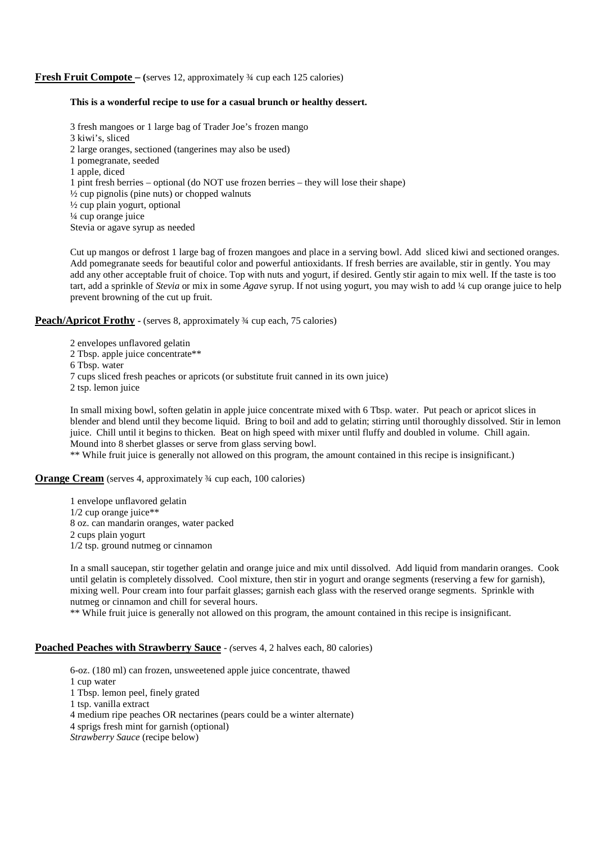### **Fresh Fruit Compote** – (serves 12, approximately <sup>3</sup>/4 cup each 125 calories)

### **This is a wonderful recipe to use for a casual brunch or healthy dessert.**

3 fresh mangoes or 1 large bag of Trader Joe's frozen mango 3 kiwi's, sliced 2 large oranges, sectioned (tangerines may also be used) 1 pomegranate, seeded 1 apple, diced 1 pint fresh berries – optional (do NOT use frozen berries – they will lose their shape)  $\frac{1}{2}$  cup pignolis (pine nuts) or chopped walnuts ½ cup plain yogurt, optional ¼ cup orange juice Stevia or agave syrup as needed

Cut up mangos or defrost 1 large bag of frozen mangoes and place in a serving bowl. Add sliced kiwi and sectioned oranges. Add pomegranate seeds for beautiful color and powerful antioxidants. If fresh berries are available, stir in gently. You may add any other acceptable fruit of choice. Top with nuts and yogurt, if desired. Gently stir again to mix well. If the taste is too tart, add a sprinkle of *Stevia* or mix in some *Agave* syrup. If not using yogurt, you may wish to add ¼ cup orange juice to help prevent browning of the cut up fruit.

**Peach/Apricot Frothy -** (serves 8, approximately <sup>3/4</sup> cup each, 75 calories)

2 envelopes unflavored gelatin 2 Tbsp. apple juice concentrate\*\* 6 Tbsp. water 7 cups sliced fresh peaches or apricots (or substitute fruit canned in its own juice) 2 tsp. lemon juice

In small mixing bowl, soften gelatin in apple juice concentrate mixed with 6 Tbsp. water. Put peach or apricot slices in blender and blend until they become liquid. Bring to boil and add to gelatin; stirring until thoroughly dissolved. Stir in lemon juice. Chill until it begins to thicken. Beat on high speed with mixer until fluffy and doubled in volume. Chill again. Mound into 8 sherbet glasses or serve from glass serving bowl.

\*\* While fruit juice is generally not allowed on this program, the amount contained in this recipe is insignificant.)

**Orange Cream** (serves 4, approximately <sup>3</sup>/4 cup each, 100 calories)

1 envelope unflavored gelatin 1/2 cup orange juice\*\* 8 oz. can mandarin oranges, water packed 2 cups plain yogurt 1/2 tsp. ground nutmeg or cinnamon

In a small saucepan, stir together gelatin and orange juice and mix until dissolved. Add liquid from mandarin oranges. Cook until gelatin is completely dissolved. Cool mixture, then stir in yogurt and orange segments (reserving a few for garnish), mixing well. Pour cream into four parfait glasses; garnish each glass with the reserved orange segments. Sprinkle with nutmeg or cinnamon and chill for several hours.

\*\* While fruit juice is generally not allowed on this program, the amount contained in this recipe is insignificant.

### **Poached Peaches with Strawberry Sauce** *- (*serves 4, 2 halves each, 80 calories)

6-oz. (180 ml) can frozen, unsweetened apple juice concentrate, thawed 1 cup water 1 Tbsp. lemon peel, finely grated 1 tsp. vanilla extract 4 medium ripe peaches OR nectarines (pears could be a winter alternate) 4 sprigs fresh mint for garnish (optional) *Strawberry Sauce* (recipe below)